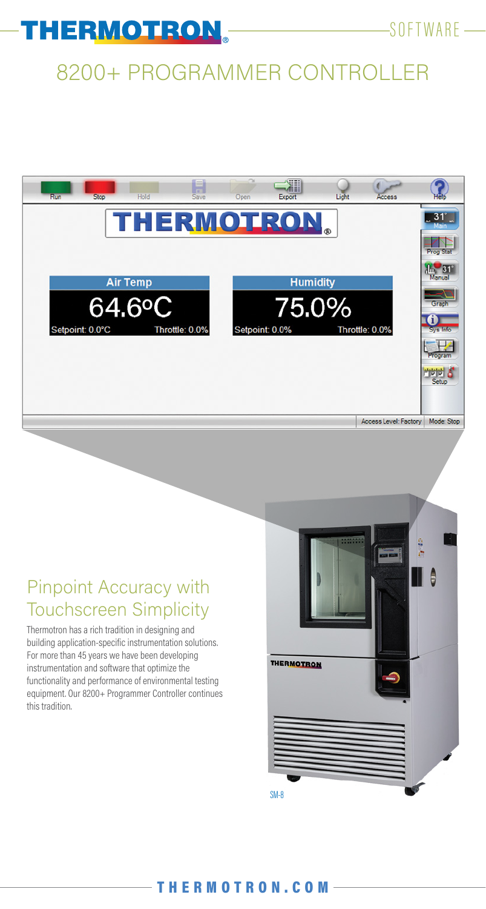

# 8200+ PROGRAMMER CONTROLLER



### Pinpoint Accuracy with Touchscreen Simplicity

Thermotron has a rich tradition in designing and building application-specific instrumentation solutions. For more than 45 years we have been developing instrumentation and software that optimize the functionality and performance of environmental testing equipment. Our 8200+ Programmer Controller continues this tradition.

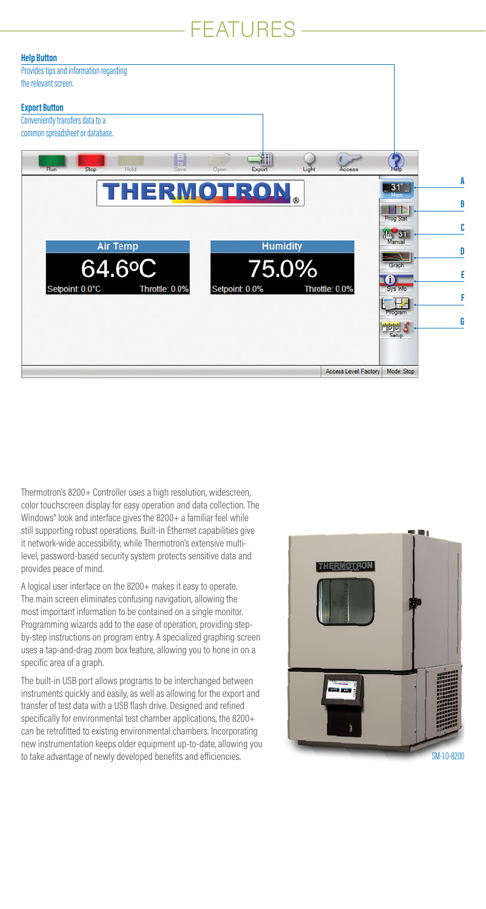## FEATURES



Thermotron's 8200+ Controller uses a high resolution, widescreen, color touchscreen display for easy operation and data collection. The Windows® look and interface gives the 8200+ a familiar feel while still supporting robust operations. Built-in Ethernet capabilities give it network-wide accessibility, while Thermotron's extensive multilevel, password-based security system protects sensitive data and provides peace of mind.

A logical user interface on the 8200+ makes it easy to operate. The main screen eliminates confusing navigation, allowing the most important information to be contained on a single monitor. Programming wizards add to the ease of operation, providing stepby-step instructions on program entry. A specialized graphing screen uses a tap-and-drag zoom box feature, allowing you to hone in on a specific area of a graph.

The built-in USB port allows programs to be interchanged between instruments quickly and easily, as well as allowing for the export and transfer of test data with a USB flash drive. Designed and refined specifically for environmental test chamber applications, the 8200+ can be retrofitted to existing environmental chambers. Incorporating new instrumentation keeps older equipment up-to-date, allowing you to take advantage of newly developed benefits and efficiencies. SM-1.0-8200 SM-1.0-8200

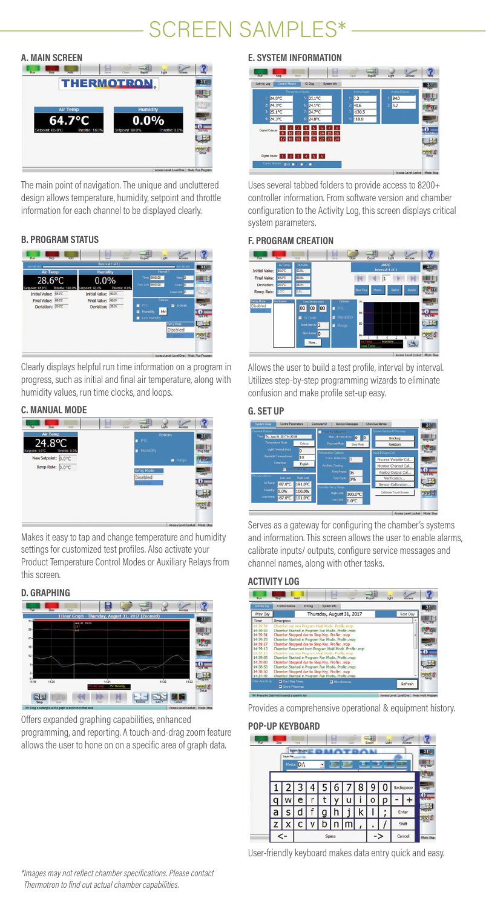# SCREEN SAMPLES\*



The main point of navigation. The unique and uncluttered design allows temperature, humidity, setpoint and throttle information for each channel to be displayed clearly.

#### **B. PROGRAM STATUS**



Clearly displays helpful run time information on a program in progress, such as initial and final air temperature, along with humidity values, run time clocks, and loops.

#### **C. MANUAL MODE**



Makes it easy to tap and change temperature and humidity settings for customized test profiles. Also activate your Product Temperature Control Modes or Auxiliary Relays from this screen.

#### **D. GRAPHING**



Offers expanded graphing capabilities, enhanced programming, and reporting. A touch-and-drag zoom feature allows the user to hone on on a specific area of graph data.

#### **E. SYSTEM INFORMATION**



Uses several tabbed folders to provide access to 8200+ controller information. From software version and chamber configuration to the Activity Log, this screen displays critical system parameters.

#### **F. PROGRAM CREATION**

| Air Terro<br>quan.<br><b>Humidity</b><br><b>Interval 1 of 1</b><br>53.7<br>Initial Value: 650°C<br>Final Value:<br><b>EAST</b><br><b>KIES</b><br>l1<br><b>Print</b> Sta<br>表示<br>Deviation: 2000<br>Deiche<br><b>Add Int</b><br><b>New Pier</b><br>Wennt.<br>Ramo Rate: 0.70<br><b>Mix</b><br>Vanja<br><b>Radrig Mode</b><br>artwien<br>Octons<br>Time (hrmin tool)<br>$70-$<br>$rac{1}{2}$<br><b>Disabled</b><br>00 00<br>·PTC<br>00<br>o<br>n situarid<br>о<br>n<br><b>System</b><br>Hamidity<br><b>E</b> G-Sock<br>œ<br>Not interval:<br>2<br>Purge<br>٠<br>Num Loops.<br>lo<br>$\overline{a}$<br>न्तुत ह<br>Manielin<br>Hotes | रिका | 200 | <b>H3d</b> | н<br>Quer<br><b>Seve</b> | 二期<br><b>Buyit</b> | Lufe | Access |  |
|-----------------------------------------------------------------------------------------------------------------------------------------------------------------------------------------------------------------------------------------------------------------------------------------------------------------------------------------------------------------------------------------------------------------------------------------------------------------------------------------------------------------------------------------------------------------------------------------------------------------------------------|------|-----|------------|--------------------------|--------------------|------|--------|--|
|                                                                                                                                                                                                                                                                                                                                                                                                                                                                                                                                                                                                                                   |      |     |            |                          |                    |      |        |  |
|                                                                                                                                                                                                                                                                                                                                                                                                                                                                                                                                                                                                                                   |      |     |            |                          |                    |      |        |  |
|                                                                                                                                                                                                                                                                                                                                                                                                                                                                                                                                                                                                                                   |      |     |            |                          |                    |      |        |  |
|                                                                                                                                                                                                                                                                                                                                                                                                                                                                                                                                                                                                                                   |      |     |            |                          |                    |      |        |  |
|                                                                                                                                                                                                                                                                                                                                                                                                                                                                                                                                                                                                                                   |      |     |            |                          |                    |      |        |  |
|                                                                                                                                                                                                                                                                                                                                                                                                                                                                                                                                                                                                                                   |      |     |            |                          |                    |      |        |  |
|                                                                                                                                                                                                                                                                                                                                                                                                                                                                                                                                                                                                                                   |      |     |            |                          |                    |      |        |  |
| Temp                                                                                                                                                                                                                                                                                                                                                                                                                                                                                                                                                                                                                              |      |     |            |                          |                    |      |        |  |

Allows the user to build a test profile, interval by interval. Utilizes step-by-step programming wizards to eliminate confusion and make profile set-up easy.

#### **G. SET UP**



Serves as a gateway for configuring the chamber's systems and information. This screen allows the user to enable alarms, calibrate inputs/ outputs, configure service messages and channel names, along with other tasks.

#### **ACTIVITY LOG**

| fictivity Log | <b>Cortrol Module</b>                                 | <b>ID Dist</b> | System Info               |  |  |  |          |
|---------------|-------------------------------------------------------|----------------|---------------------------|--|--|--|----------|
| Prev Day      |                                                       |                | Thursday, August 31, 2017 |  |  |  | Next Day |
| Tme           | Description                                           |                |                           |  |  |  | ×        |
| 14:30:34      | Chamber put into Program Hold Mode. Profile: map      |                |                           |  |  |  |          |
| 14:39:33      | Chamber Started in Program Run Mode, Profile: map     |                |                           |  |  |  |          |
| 14:39:31      | Chamber Stopped due to Stop Key, Profie: .map         |                |                           |  |  |  |          |
| 14:39:23      | Chamber Started in Program Run Mode, Profile: map     |                |                           |  |  |  |          |
| 14:39:17      | Chamber Stopped due to Stop Key. Profile: .map        |                |                           |  |  |  |          |
| 14.39:13      | Chamber Resumed from Program Hold Mode, Profile: mzp. |                |                           |  |  |  |          |
| 14:39:10      | Chamber put into Program Hold Mode. Profles.mzp       |                |                           |  |  |  |          |
| 14:39:05      | Chamber Started in Program Run Mode, Profile: mgp     |                |                           |  |  |  |          |
| 14:39:03      | Chamber Stopped due to Stop Key, Profie: .map         |                |                           |  |  |  |          |
| 14:38:53      | Chamber Started in Program Run Mode, Profiles.mzp     |                |                           |  |  |  |          |
| 14:30:50      | Chamber Stopped due to Stop Key. Profie: .map         |                |                           |  |  |  |          |
|               |                                                       |                |                           |  |  |  |          |
| 14:34:49      | Chamber Started in Program Run Mode, Profile: map     |                |                           |  |  |  |          |

Provides a comprehensive operational & equipment history.

#### **POP-UP KEYBOARD**



User-friendly keyboard makes data entry quick and easy.